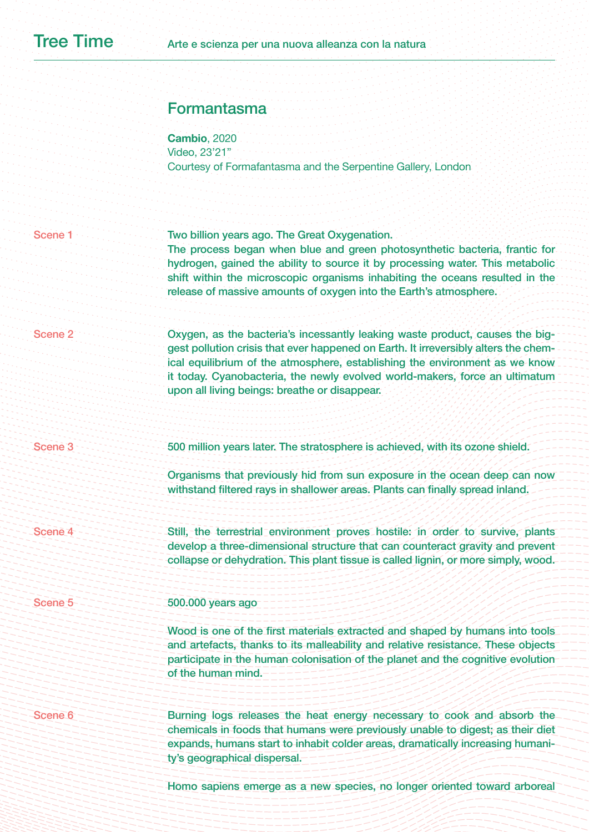# Formantasma

**Cambio**, 2020 Video, 23'21" Courtesy of Formafantasma and the Serpentine Gallery, London

| Scene <sub>1</sub> | Two billion years ago. The Great Oxygenation.<br>The process began when blue and green photosynthetic bacteria, frantic for<br>hydrogen, gained the ability to source it by processing water. This metabolic<br>shift within the microscopic organisms inhabiting the oceans resulted in the<br>release of massive amounts of oxygen into the Earth's atmosphere.                  |
|--------------------|------------------------------------------------------------------------------------------------------------------------------------------------------------------------------------------------------------------------------------------------------------------------------------------------------------------------------------------------------------------------------------|
| Scene <sub>2</sub> | Oxygen, as the bacteria's incessantly leaking waste product, causes the big-<br>gest pollution crisis that ever happened on Earth. It irreversibly alters the chem-<br>ical equilibrium of the atmosphere, establishing the environment as we know<br>it today. Cyanobacteria, the newly evolved world-makers, force an ultimatum<br>upon all living beings: breathe or disappear. |
| <b>Scene 3</b>     | 500 million years later. The stratosphere is achieved, with its ozone shield.                                                                                                                                                                                                                                                                                                      |
|                    | Organisms that previously hid from sun exposure in the ocean deep can now<br>withstand filtered rays in shallower areas. Plants can finally spread inland.                                                                                                                                                                                                                         |
| Scene <sub>4</sub> | Still, the terrestrial environment proves hostile: in order to survive, plants<br>develop a three-dimensional structure that can counteract gravity and prevent<br>collapse or dehydration. This plant tissue is called lignin, or more simply, wood.                                                                                                                              |
| <b>Scene 5</b>     | 500.000 years ago                                                                                                                                                                                                                                                                                                                                                                  |
|                    | Wood is one of the first materials extracted and shaped by humans into tools<br>and artefacts, thanks to its malleability and relative resistance. These objects<br>participate in the human colonisation of the planet and the cognitive evolution<br>of the human mind.                                                                                                          |
| Scene 6            | Burning logs releases the heat energy necessary to cook and absorb the<br>chemicals in foods that humans were previously unable to digest; as their diet<br>expands, humans start to inhabit colder areas, dramatically increasing humani-<br>ty's geographical dispersal.                                                                                                         |
|                    | Homo sapiens emerge as a new species, no longer oriented toward arboreal                                                                                                                                                                                                                                                                                                           |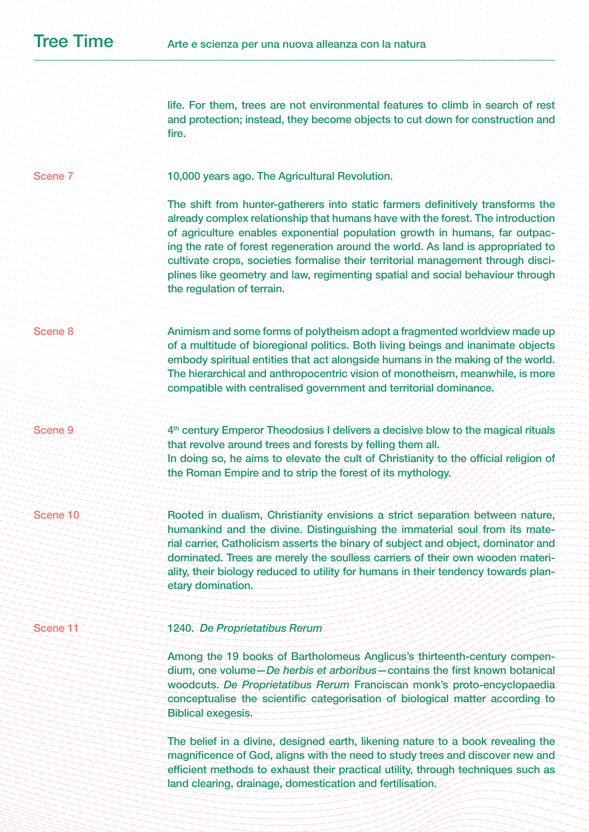life. For them, trees are not environmental features to climb in search of rest and protection; instead, they become objects to cut down for construction and fire.

# Scene 7

10,000 years ago. The Agricultural Revolution.

The shift from hunter-gatherers into static farmers definitively transforms the already complex relationship that humans have with the forest. The introduction of agriculture enables exponential population growth in humans, far outpacing the rate of forest regeneration around the world. As land is appropriated to cultivate crops, societies formalise their territorial management through disciplines like geometry and law, regimenting spatial and social behaviour through the regulation of terrain.

### Scene 8

Animism and some forms of polytheism adopt a fragmented worldview made up of a multitude of bioregional politics. Both living beings and inanimate objects embody spiritual entities that act alongside humans in the making of the world. The hierarchical and anthropocentric vision of monotheism, meanwhile, is more compatible with centralised government and territorial dominance.

Scene 9

4th century Emperor Theodosius I delivers a decisive blow to the magical rituals that revolve around trees and forests by felling them all. In doing so, he aims to elevate the cult of Christianity to the official religion of the Roman Empire and to strip the forest of its mythology.

Scene 10

Rooted in dualism, Christianity envisions a strict separation between nature, humankind and the divine. Distinguishing the immaterial soul from its material carrier, Catholicism asserts the binary of subject and object, dominator and dominated. Trees are merely the soulless carriers of their own wooden materiality, their biology reduced to utility for humans in their tendency towards planetary domination.

# Scene 11

# 1240. *De Proprietatibus Rerum*

Among the 19 books of Bartholomeus Anglicus's thirteenth-century compendium, one volume—*De herbis et arboribus*—contains the first known botanical woodcuts. *De Proprietatibus Rerum* Franciscan monk's proto-encyclopaedia conceptualise the scientific categorisation of biological matter according to Biblical exegesis.

The belief in a divine, designed earth, likening nature to a book revealing the magnificence of God, aligns with the need to study trees and discover new and efficient methods to exhaust their practical utility, through techniques such as land clearing, drainage, domestication and fertilisation.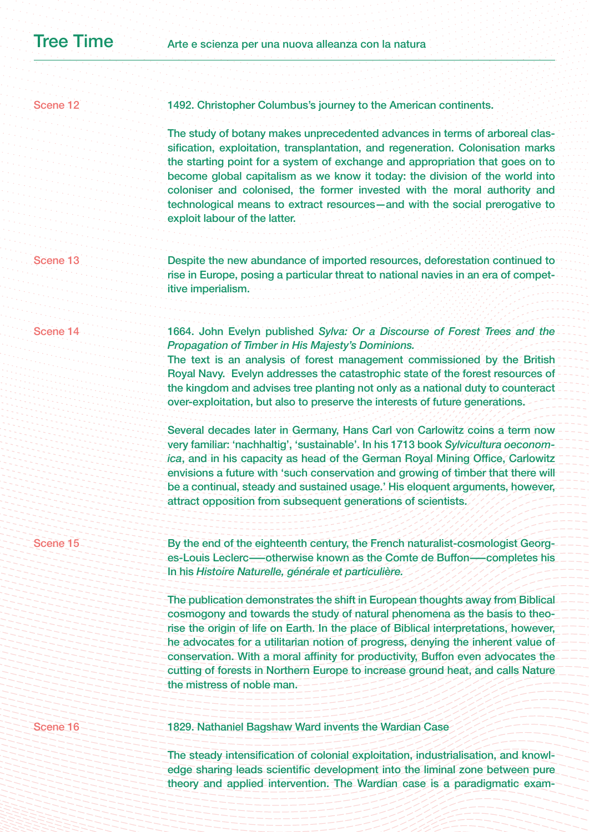| Scene 16            | 1829. Nathaniel Bagshaw Ward invents the Wardian Case                                                                                                                                                                                                                                                                                                                                                                                                                                                                                        |
|---------------------|----------------------------------------------------------------------------------------------------------------------------------------------------------------------------------------------------------------------------------------------------------------------------------------------------------------------------------------------------------------------------------------------------------------------------------------------------------------------------------------------------------------------------------------------|
|                     | The publication demonstrates the shift in European thoughts away from Biblical<br>cosmogony and towards the study of natural phenomena as the basis to theo-<br>rise the origin of life on Earth. In the place of Biblical interpretations, however,<br>he advocates for a utilitarian notion of progress, denying the inherent value of<br>conservation. With a moral affinity for productivity, Buffon even advocates the<br>cutting of forests in Northern Europe to increase ground heat, and calls Nature<br>the mistress of noble man. |
| Scene 15            | By the end of the eighteenth century, the French naturalist-cosmologist Georg-<br>es-Louis Leclerc-otherwise known as the Comte de Buffon-completes his<br>In his Histoire Naturelle, générale et particulière.                                                                                                                                                                                                                                                                                                                              |
|                     | Several decades later in Germany, Hans Carl von Carlowitz coins a term now<br>very familiar: 'nachhaltig', 'sustainable'. In his 1713 book Sylvicultura oeconom-<br>ica, and in his capacity as head of the German Royal Mining Office, Carlowitz<br>envisions a future with 'such conservation and growing of timber that there will<br>be a continual, steady and sustained usage.' His eloquent arguments, however,<br>attract opposition from subsequent generations of scientists.                                                      |
|                     | 1664. John Evelyn published Sylva: Or a Discourse of Forest Trees and the<br>Propagation of Timber in His Majesty's Dominions.<br>The text is an analysis of forest management commissioned by the British<br>Royal Navy. Evelyn addresses the catastrophic state of the forest resources of<br>the kingdom and advises tree planting not only as a national duty to counteract<br>over-exploitation, but also to preserve the interests of future generations.                                                                              |
| Scene               | Despite the new abundance of imported resources, deforestation continued to<br>rise in Europe, posing a particular threat to national navies in an era of compet-<br>itive imperialism.                                                                                                                                                                                                                                                                                                                                                      |
|                     | The study of botany makes unprecedented advances in terms of arboreal clas-<br>sification, exploitation, transplantation, and regeneration. Colonisation marks<br>the starting point for a system of exchange and appropriation that goes on to<br>become global capitalism as we know it today: the division of the world into<br>coloniser and colonised, the former invested with the moral authority and<br>technological means to extract resources—and with the social prerogative to<br>exploit labour of the latter.                 |
| Scene <sub>12</sub> | 1492. Christopher Columbus's journey to the American continents.                                                                                                                                                                                                                                                                                                                                                                                                                                                                             |
|                     |                                                                                                                                                                                                                                                                                                                                                                                                                                                                                                                                              |

The steady intensification of colonial exploitation, industrialisation, and knowledge sharing leads scientific development into the liminal zone between pure theory and applied intervention. The Wardian case is a paradigmatic exam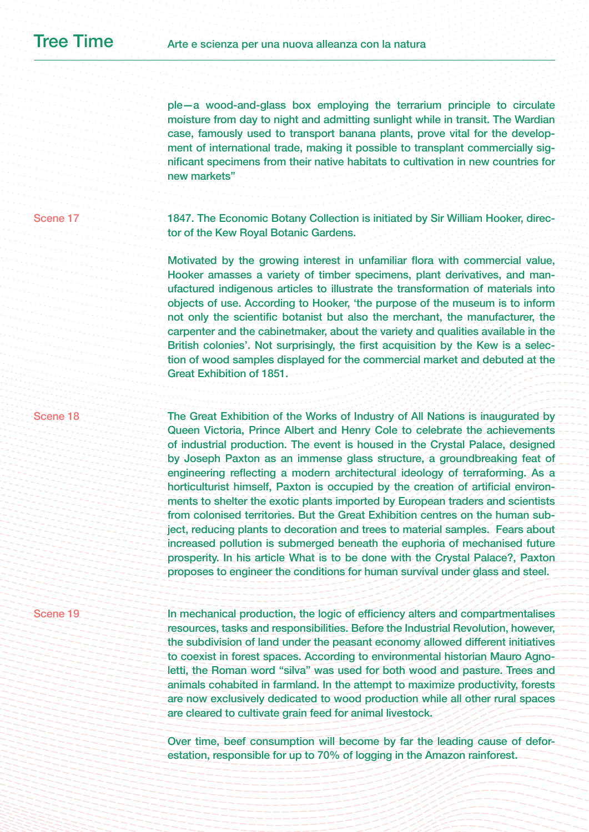ple—a wood-and-glass box employing the terrarium principle to circulate moisture from day to night and admitting sunlight while in transit. The Wardian case, famously used to transport banana plants, prove vital for the development of international trade, making it possible to transplant commercially significant specimens from their native habitats to cultivation in new countries for new markets"

1847. The Economic Botany Collection is initiated by Sir William Hooker, director of the Kew Royal Botanic Gardens.

Motivated by the growing interest in unfamiliar flora with commercial value, Hooker amasses a variety of timber specimens, plant derivatives, and manufactured indigenous articles to illustrate the transformation of materials into objects of use. According to Hooker, 'the purpose of the museum is to inform not only the scientific botanist but also the merchant, the manufacturer, the carpenter and the cabinetmaker, about the variety and qualities available in the British colonies'. Not surprisingly, the first acquisition by the Kew is a selection of wood samples displayed for the commercial market and debuted at the Great Exhibition of 1851.

## Scene 18

Scene 17

The Great Exhibition of the Works of Industry of All Nations is inaugurated by Queen Victoria, Prince Albert and Henry Cole to celebrate the achievements of industrial production. The event is housed in the Crystal Palace, designed by Joseph Paxton as an immense glass structure, a groundbreaking feat of engineering reflecting a modern architectural ideology of terraforming. As a horticulturist himself, Paxton is occupied by the creation of artificial environments to shelter the exotic plants imported by European traders and scientists from colonised territories. But the Great Exhibition centres on the human subject, reducing plants to decoration and trees to material samples. Fears about increased pollution is submerged beneath the euphoria of mechanised future prosperity. In his article What is to be done with the Crystal Palace?, Paxton proposes to engineer the conditions for human survival under glass and steel.

# Scene 19

In mechanical production, the logic of efficiency alters and compartmentalises resources, tasks and responsibilities. Before the Industrial Revolution, however, the subdivision of land under the peasant economy allowed different initiatives to coexist in forest spaces. According to environmental historian Mauro Agnoletti, the Roman word "silva" was used for both wood and pasture. Trees and animals cohabited in farmland. In the attempt to maximize productivity, forests are now exclusively dedicated to wood production while all other rural spaces are cleared to cultivate grain feed for animal livestock.

Over time, beef consumption will become by far the leading cause of deforestation, responsible for up to 70% of logging in the Amazon rainforest.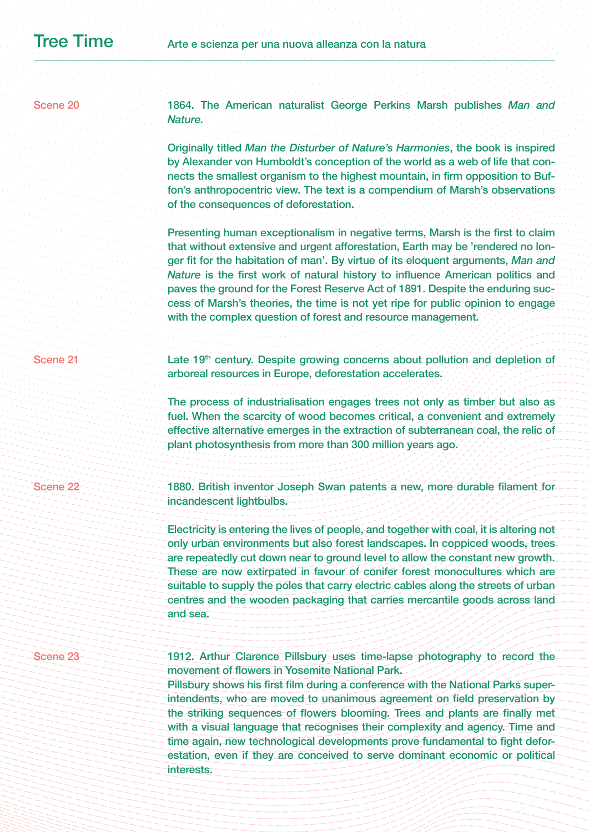1864. The American naturalist George Perkins Marsh publishes *Man and Nature.* 

Originally titled *Man the Disturber of Nature's Harmonies*, the book is inspired by Alexander von Humboldt's conception of the world as a web of life that connects the smallest organism to the highest mountain, in firm opposition to Buffon's anthropocentric view. The text is a compendium of Marsh's observations of the consequences of deforestation.

Presenting human exceptionalism in negative terms, Marsh is the first to claim that without extensive and urgent afforestation, Earth may be 'rendered no longer fit for the habitation of man'. By virtue of its eloquent arguments, *Man and Nature* is the first work of natural history to influence American politics and paves the ground for the Forest Reserve Act of 1891. Despite the enduring success of Marsh's theories, the time is not yet ripe for public opinion to engage with the complex question of forest and resource management.

Late 19th century. Despite growing concerns about pollution and depletion of arboreal resources in Europe, deforestation accelerates.

The process of industrialisation engages trees not only as timber but also as fuel. When the scarcity of wood becomes critical, a convenient and extremely effective alternative emerges in the extraction of subterranean coal, the relic of plant photosynthesis from more than 300 million years ago.

Scene 22

Scene 21

1880. British inventor Joseph Swan patents a new, more durable filament for incandescent lightbulbs.

Electricity is entering the lives of people, and together with coal, it is altering not only urban environments but also forest landscapes. In coppiced woods, trees are repeatedly cut down near to ground level to allow the constant new growth. These are now extirpated in favour of conifer forest monocultures which are suitable to supply the poles that carry electric cables along the streets of urban centres and the wooden packaging that carries mercantile goods across land and sea.

# Scene 23

1912. Arthur Clarence Pillsbury uses time-lapse photography to record the movement of flowers in Yosemite National Park.

Pillsbury shows his first film during a conference with the National Parks superintendents, who are moved to unanimous agreement on field preservation by the striking sequences of flowers blooming. Trees and plants are finally met with a visual language that recognises their complexity and agency. Time and time again, new technological developments prove fundamental to fight deforestation, even if they are conceived to serve dominant economic or political interests.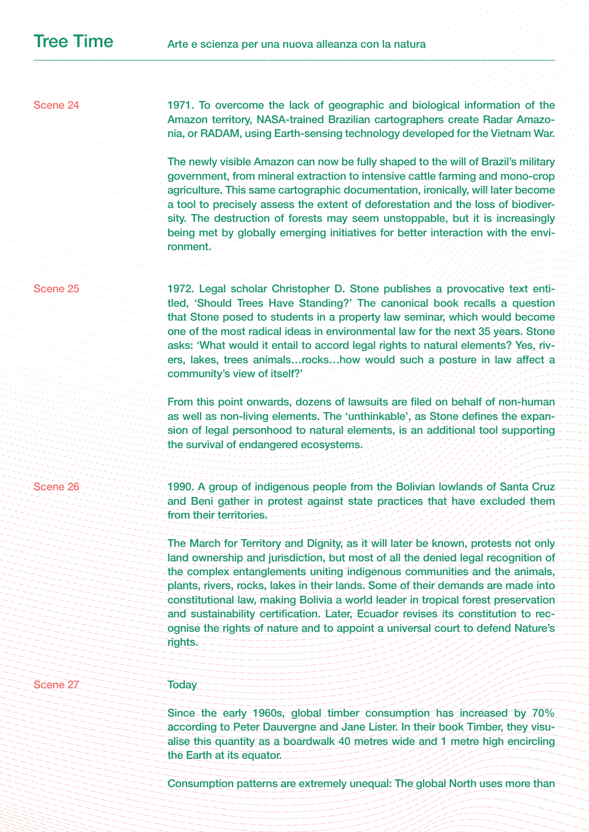# Scene 24

1971. To overcome the lack of geographic and biological information of the Amazon territory, NASA-trained Brazilian cartographers create Radar Amazonia, or RADAM, using Earth-sensing technology developed for the Vietnam War.

The newly visible Amazon can now be fully shaped to the will of Brazil's military government, from mineral extraction to intensive cattle farming and mono-crop agriculture. This same cartographic documentation, ironically, will later become a tool to precisely assess the extent of deforestation and the loss of biodiversity. The destruction of forests may seem unstoppable, but it is increasingly being met by globally emerging initiatives for better interaction with the environment.

#### Scene 25

1972. Legal scholar Christopher D. Stone publishes a provocative text entitled, 'Should Trees Have Standing?' The canonical book recalls a question that Stone posed to students in a property law seminar, which would become one of the most radical ideas in environmental law for the next 35 years. Stone asks: 'What would it entail to accord legal rights to natural elements? Yes, rivers, lakes, trees animals…rocks…how would such a posture in law affect a community's view of itself?'

From this point onwards, dozens of lawsuits are filed on behalf of non-human as well as non-living elements. The 'unthinkable', as Stone defines the expansion of legal personhood to natural elements, is an additional tool supporting the survival of endangered ecosystems.

## Scene 26

1990. A group of indigenous people from the Bolivian lowlands of Santa Cruz and Beni gather in protest against state practices that have excluded them from their territories.

The March for Territory and Dignity, as it will later be known, protests not only land ownership and jurisdiction, but most of all the denied legal recognition of the complex entanglements uniting indigenous communities and the animals, plants, rivers, rocks, lakes in their lands. Some of their demands are made into constitutional law, making Bolivia a world leader in tropical forest preservation and sustainability certification. Later, Ecuador revises its constitution to recognise the rights of nature and to appoint a universal court to defend Nature's rights.

# Scene 27

# **Today**

Since the early 1960s, global timber consumption has increased by 70% according to Peter Dauvergne and Jane Lister. In their book Timber, they visualise this quantity as a boardwalk 40 metres wide and 1 metre high encircling the Earth at its equator.

Consumption patterns are extremely unequal: The global North uses more than